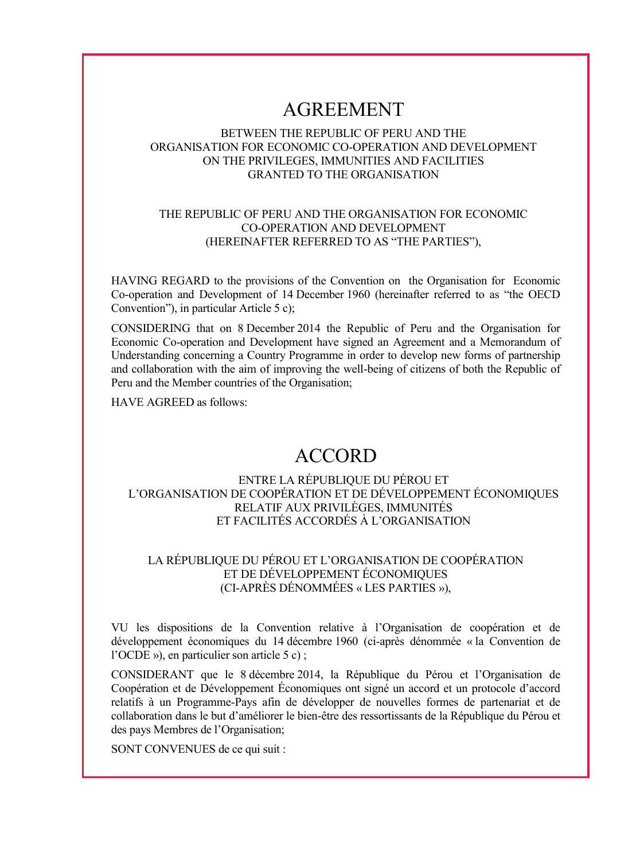# AGREEMENT

# BETWEEN THE REPUBLIC OF PERU AND THE ORGANISATION FOR ECONOMIC CO-OPERATION AND DEVELOPMENT ON THE PRIVILEGES, IMMUNITIES AND FACILITIES GRANTED TO THE ORGANISATION

## THE REPUBLIC OF PERU AND THE ORGANISATION FOR ECONOMIC CO-OPERATION AND DEVELOPMENT (HEREINAFTER REFERRED TO AS "THE PARTIES"),

HAVING REGARD to the provisions of the Convention on the Organisation for Economic Co-operation and Development of 14 December 1960 (hereinafter referred to as "the OECD Convention"), in particular Article 5 c);

CONSIDERING that on 8 December 2014 the Republic of Peru and the Organisation for Economic Co-operation and Development have signed an Agreement and a Memorandum of Understanding concerning a Country Programme in order to develop new forms of partnership and collaboration with the aim of improving the well-being of citizens of both the Republic of Peru and the Member countries of the Organisation;

HAVE AGREED as follows:

# ACCORD

# ENTRE LA RÉPUBLIQUE DU PÉROU ET L'ORGANISATION DE COOPÉRATION ET DE DÉVELOPPEMENT ÉCONOMIQUES RELATIF AUX PRIVILÈGES, IMMUNITÉS ET FACILITÉS ACCORDÉS À L'ORGANISATION

# LA RÉPUBLIQUE DU PÉROU ET L'ORGANISATION DE COOPÉRATION ET DE DÉVELOPPEMENT ÉCONOMIQUES (CI-APRÈS DÉNOMMÉES « LES PARTIES »),

VU les dispositions de la Convention relative à l'Organisation de coopération et de développement économiques du 14 décembre 1960 (ci-après dénommée « la Convention de l'OCDE »), en particulier son article 5 c) ;

CONSIDERANT que le 8 décembre 2014, la République du Pérou et l'Organisation de Coopération et de Développement Économiques ont signé un accord et un protocole d'accord relatifs à un Programme-Pays afin de développer de nouvelles formes de partenariat et de collaboration dans le but d'améliorer le bien-être des ressortissants de la République du Pérou et des pays Membres de l'Organisation;

SONT CONVENUES de ce qui suit :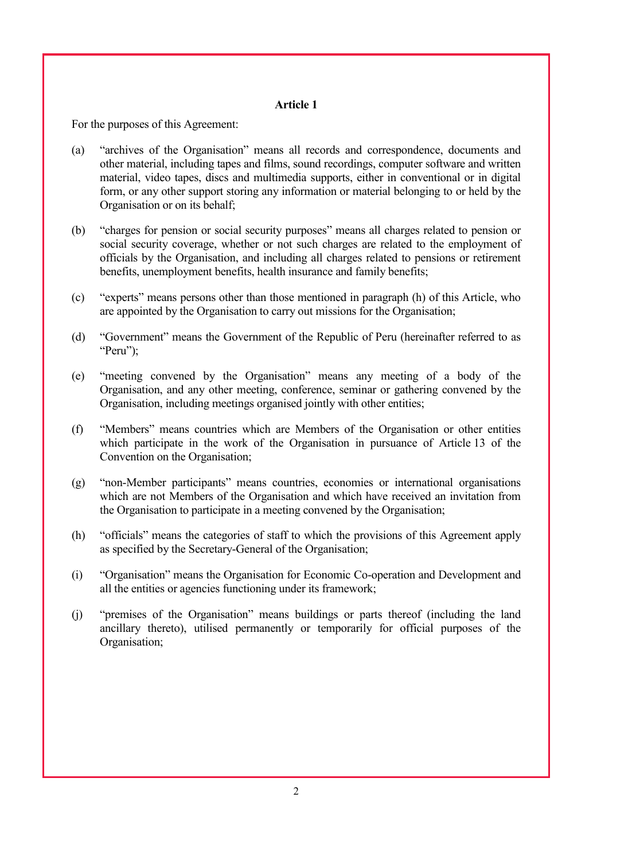For the purposes of this Agreement:

- (a) "archives of the Organisation" means all records and correspondence, documents and other material, including tapes and films, sound recordings, computer software and written material, video tapes, discs and multimedia supports, either in conventional or in digital form, or any other support storing any information or material belonging to or held by the Organisation or on its behalf;
- (b) "charges for pension or social security purposes" means all charges related to pension or social security coverage, whether or not such charges are related to the employment of officials by the Organisation, and including all charges related to pensions or retirement benefits, unemployment benefits, health insurance and family benefits;
- (c) "experts" means persons other than those mentioned in paragraph (h) of this Article, who are appointed by the Organisation to carry out missions for the Organisation;
- (d) "Government" means the Government of the Republic of Peru (hereinafter referred to as "Peru");
- (e) "meeting convened by the Organisation" means any meeting of a body of the Organisation, and any other meeting, conference, seminar or gathering convened by the Organisation, including meetings organised jointly with other entities;
- (f) "Members" means countries which are Members of the Organisation or other entities which participate in the work of the Organisation in pursuance of Article 13 of the Convention on the Organisation;
- (g) "non-Member participants" means countries, economies or international organisations which are not Members of the Organisation and which have received an invitation from the Organisation to participate in a meeting convened by the Organisation;
- (h) "officials" means the categories of staff to which the provisions of this Agreement apply as specified by the Secretary-General of the Organisation;
- (i) "Organisation" means the Organisation for Economic Co-operation and Development and all the entities or agencies functioning under its framework;
- (j) "premises of the Organisation" means buildings or parts thereof (including the land ancillary thereto), utilised permanently or temporarily for official purposes of the Organisation;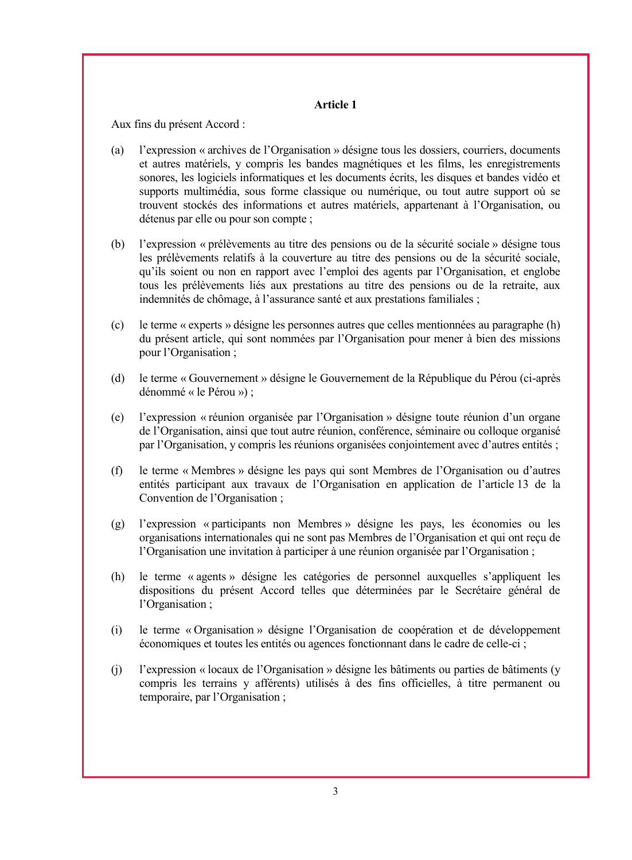Aux fins du présent Accord :

- (a) l'expression « archives de l'Organisation » désigne tous les dossiers, courriers, documents et autres matériels, y compris les bandes magnétiques et les films, les enregistrements sonores, les logiciels informatiques et les documents écrits, les disques et bandes vidéo et supports multimédia, sous forme classique ou numérique, ou tout autre support où se trouvent stockés des informations et autres matériels, appartenant à l'Organisation, ou détenus par elle ou pour son compte ;
- (b) l'expression « prélèvements au titre des pensions ou de la sécurité sociale » désigne tous les prélèvements relatifs à la couverture au titre des pensions ou de la sécurité sociale, qu'ils soient ou non en rapport avec l'emploi des agents par l'Organisation, et englobe tous les prélèvements liés aux prestations au titre des pensions ou de la retraite, aux indemnités de chômage, à l'assurance santé et aux prestations familiales ;
- (c) le terme « experts » désigne les personnes autres que celles mentionnées au paragraphe (h) du présent article, qui sont nommées par l'Organisation pour mener à bien des missions pour l'Organisation ;
- (d) le terme « Gouvernement » désigne le Gouvernement de la République du Pérou (ci-après dénommé « le Pérou ») ;
- (e) l'expression « réunion organisée par l'Organisation » désigne toute réunion d'un organe de l'Organisation, ainsi que tout autre réunion, conférence, séminaire ou colloque organisé par l'Organisation, y compris les réunions organisées conjointement avec d'autres entités ;
- (f) le terme « Membres » désigne les pays qui sont Membres de l'Organisation ou d'autres entités participant aux travaux de l'Organisation en application de l'article 13 de la Convention de l'Organisation ;
- (g) l'expression « participants non Membres » désigne les pays, les économies ou les organisations internationales qui ne sont pas Membres de l'Organisation et qui ont reçu de l'Organisation une invitation à participer à une réunion organisée par l'Organisation ;
- (h) le terme « agents » désigne les catégories de personnel auxquelles s'appliquent les dispositions du présent Accord telles que déterminées par le Secrétaire général de l'Organisation ;
- (i) le terme « Organisation » désigne l'Organisation de coopération et de développement économiques et toutes les entités ou agences fonctionnant dans le cadre de celle-ci ;
- (j) l'expression « locaux de l'Organisation » désigne les bâtiments ou parties de bâtiments (y compris les terrains y afférents) utilisés à des fins officielles, à titre permanent ou temporaire, par l'Organisation ;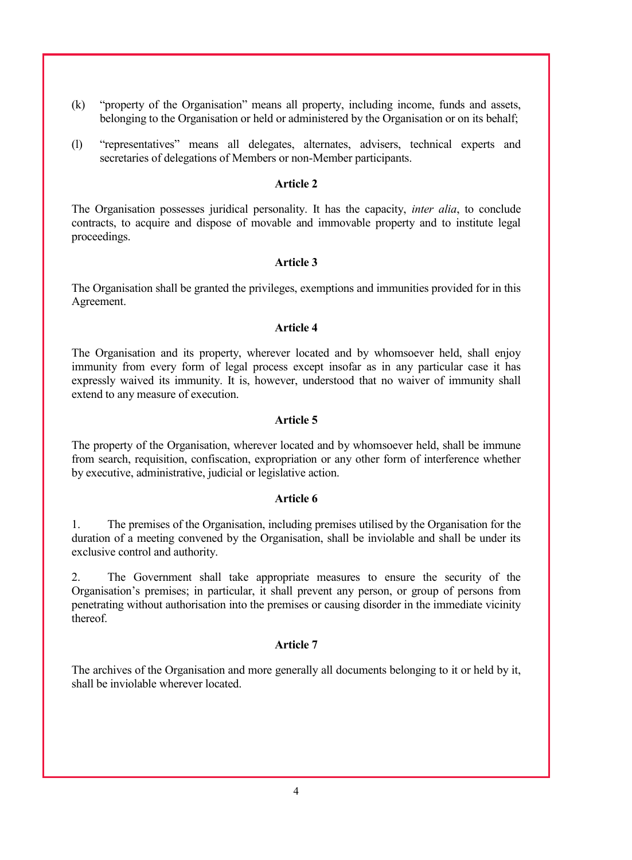- (k) "property of the Organisation" means all property, including income, funds and assets, belonging to the Organisation or held or administered by the Organisation or on its behalf;
- (l) "representatives" means all delegates, alternates, advisers, technical experts and secretaries of delegations of Members or non-Member participants.

The Organisation possesses juridical personality. It has the capacity, *inter alia*, to conclude contracts, to acquire and dispose of movable and immovable property and to institute legal proceedings.

#### **Article 3**

The Organisation shall be granted the privileges, exemptions and immunities provided for in this Agreement.

### **Article 4**

The Organisation and its property, wherever located and by whomsoever held, shall enjoy immunity from every form of legal process except insofar as in any particular case it has expressly waived its immunity. It is, however, understood that no waiver of immunity shall extend to any measure of execution.

#### **Article 5**

The property of the Organisation, wherever located and by whomsoever held, shall be immune from search, requisition, confiscation, expropriation or any other form of interference whether by executive, administrative, judicial or legislative action.

#### **Article 6**

1. The premises of the Organisation, including premises utilised by the Organisation for the duration of a meeting convened by the Organisation, shall be inviolable and shall be under its exclusive control and authority.

2. The Government shall take appropriate measures to ensure the security of the Organisation's premises; in particular, it shall prevent any person, or group of persons from penetrating without authorisation into the premises or causing disorder in the immediate vicinity thereof.

#### **Article 7**

The archives of the Organisation and more generally all documents belonging to it or held by it, shall be inviolable wherever located.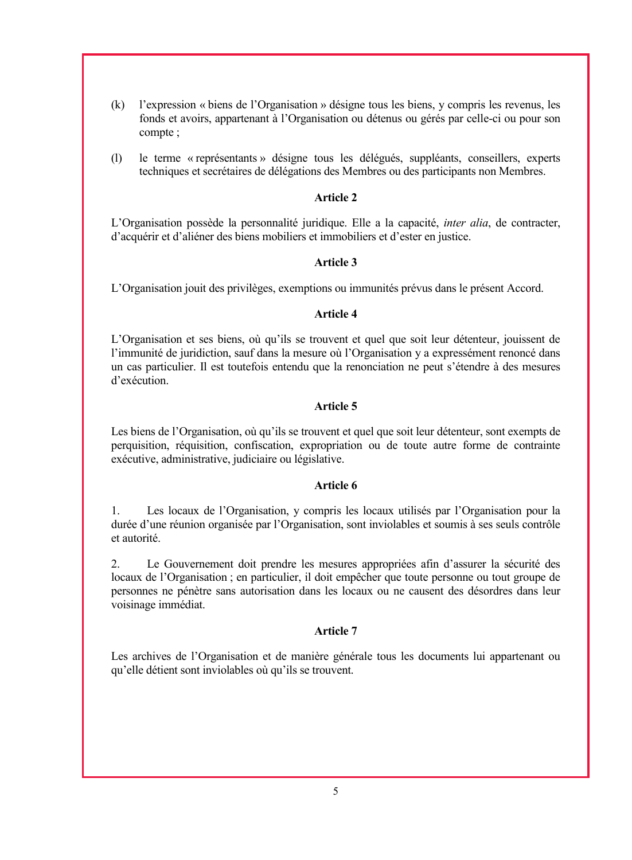- (k) l'expression « biens de l'Organisation » désigne tous les biens, y compris les revenus, les fonds et avoirs, appartenant à l'Organisation ou détenus ou gérés par celle-ci ou pour son compte ;
- (l) le terme « représentants » désigne tous les délégués, suppléants, conseillers, experts techniques et secrétaires de délégations des Membres ou des participants non Membres.

L'Organisation possède la personnalité juridique. Elle a la capacité, *inter alia*, de contracter, d'acquérir et d'aliéner des biens mobiliers et immobiliers et d'ester en justice.

### **Article 3**

L'Organisation jouit des privilèges, exemptions ou immunités prévus dans le présent Accord.

### **Article 4**

L'Organisation et ses biens, où qu'ils se trouvent et quel que soit leur détenteur, jouissent de l'immunité de juridiction, sauf dans la mesure où l'Organisation y a expressément renoncé dans un cas particulier. Il est toutefois entendu que la renonciation ne peut s'étendre à des mesures d'exécution.

## **Article 5**

Les biens de l'Organisation, où qu'ils se trouvent et quel que soit leur détenteur, sont exempts de perquisition, réquisition, confiscation, expropriation ou de toute autre forme de contrainte exécutive, administrative, judiciaire ou législative.

#### **Article 6**

1. Les locaux de l'Organisation, y compris les locaux utilisés par l'Organisation pour la durée d'une réunion organisée par l'Organisation, sont inviolables et soumis à ses seuls contrôle et autorité.

2. Le Gouvernement doit prendre les mesures appropriées afin d'assurer la sécurité des locaux de l'Organisation ; en particulier, il doit empêcher que toute personne ou tout groupe de personnes ne pénètre sans autorisation dans les locaux ou ne causent des désordres dans leur voisinage immédiat.

## **Article 7**

Les archives de l'Organisation et de manière générale tous les documents lui appartenant ou qu'elle détient sont inviolables où qu'ils se trouvent.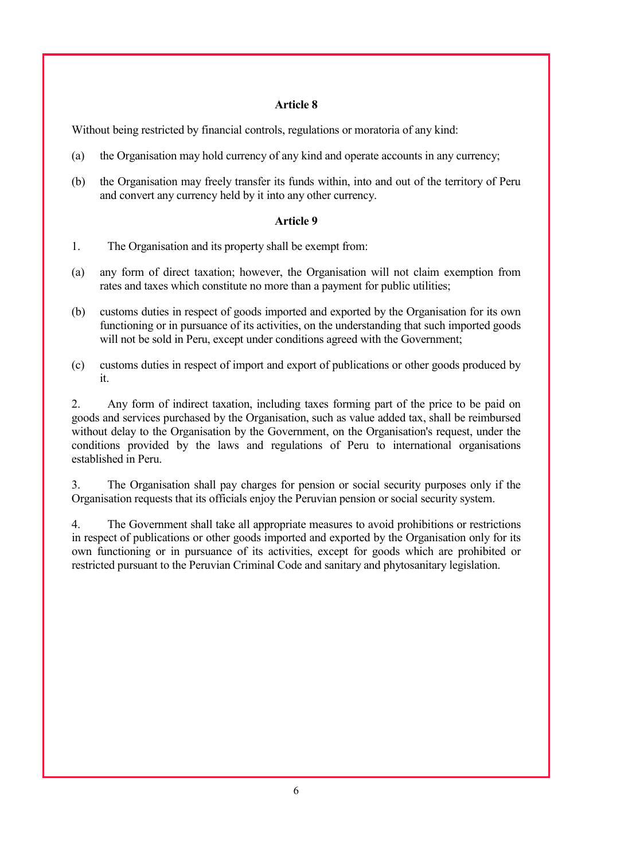Without being restricted by financial controls, regulations or moratoria of any kind:

- (a) the Organisation may hold currency of any kind and operate accounts in any currency;
- (b) the Organisation may freely transfer its funds within, into and out of the territory of Peru and convert any currency held by it into any other currency.

### **Article 9**

- 1. The Organisation and its property shall be exempt from:
- (a) any form of direct taxation; however, the Organisation will not claim exemption from rates and taxes which constitute no more than a payment for public utilities;
- (b) customs duties in respect of goods imported and exported by the Organisation for its own functioning or in pursuance of its activities, on the understanding that such imported goods will not be sold in Peru, except under conditions agreed with the Government;
- (c) customs duties in respect of import and export of publications or other goods produced by it.

2. Any form of indirect taxation, including taxes forming part of the price to be paid on goods and services purchased by the Organisation, such as value added tax, shall be reimbursed without delay to the Organisation by the Government, on the Organisation's request, under the conditions provided by the laws and regulations of Peru to international organisations established in Peru.

3. The Organisation shall pay charges for pension or social security purposes only if the Organisation requests that its officials enjoy the Peruvian pension or social security system.

4. The Government shall take all appropriate measures to avoid prohibitions or restrictions in respect of publications or other goods imported and exported by the Organisation only for its own functioning or in pursuance of its activities, except for goods which are prohibited or restricted pursuant to the Peruvian Criminal Code and sanitary and phytosanitary legislation.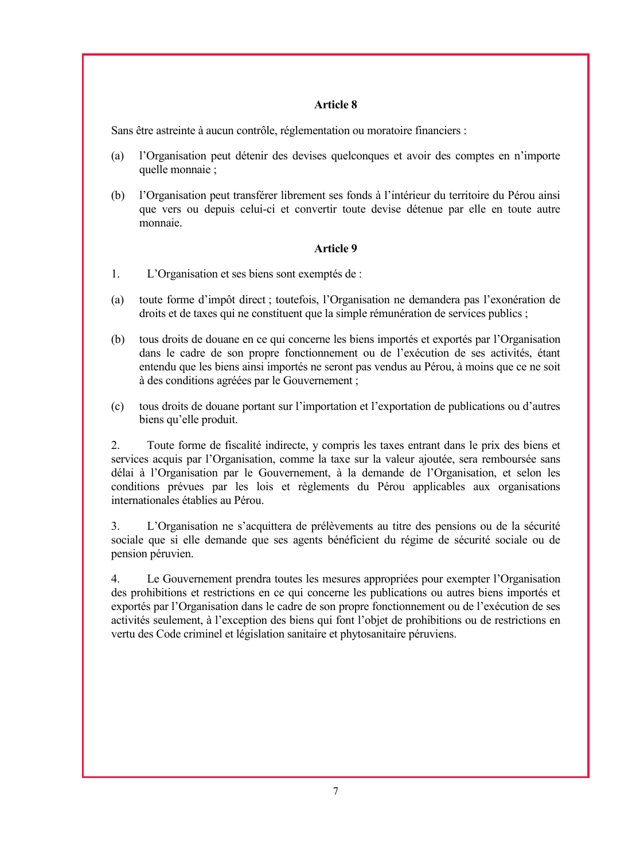Sans être astreinte à aucun contrôle, réglementation ou moratoire financiers :

- (a) l'Organisation peut détenir des devises quelconques et avoir des comptes en n'importe quelle monnaie ;
- (b) l'Organisation peut transférer librement ses fonds à l'intérieur du territoire du Pérou ainsi que vers ou depuis celui-ci et convertir toute devise détenue par elle en toute autre monnaie.

## **Article 9**

- 1. L'Organisation et ses biens sont exemptés de :
- (a) toute forme d'impôt direct ; toutefois, l'Organisation ne demandera pas l'exonération de droits et de taxes qui ne constituent que la simple rémunération de services publics ;
- (b) tous droits de douane en ce qui concerne les biens importés et exportés par l'Organisation dans le cadre de son propre fonctionnement ou de l'exécution de ses activités, étant entendu que les biens ainsi importés ne seront pas vendus au Pérou, à moins que ce ne soit à des conditions agréées par le Gouvernement ;
- (c) tous droits de douane portant sur l'importation et l'exportation de publications ou d'autres biens qu'elle produit.

2. Toute forme de fiscalité indirecte, y compris les taxes entrant dans le prix des biens et services acquis par l'Organisation, comme la taxe sur la valeur ajoutée, sera remboursée sans délai à l'Organisation par le Gouvernement, à la demande de l'Organisation, et selon les conditions prévues par les lois et règlements du Pérou applicables aux organisations internationales établies au Pérou.

3. L'Organisation ne s'acquittera de prélèvements au titre des pensions ou de la sécurité sociale que si elle demande que ses agents bénéficient du régime de sécurité sociale ou de pension péruvien.

4. Le Gouvernement prendra toutes les mesures appropriées pour exempter l'Organisation des prohibitions et restrictions en ce qui concerne les publications ou autres biens importés et exportés par l'Organisation dans le cadre de son propre fonctionnement ou de l'exécution de ses activités seulement, à l'exception des biens qui font l'objet de prohibitions ou de restrictions en vertu des Code criminel et législation sanitaire et phytosanitaire péruviens.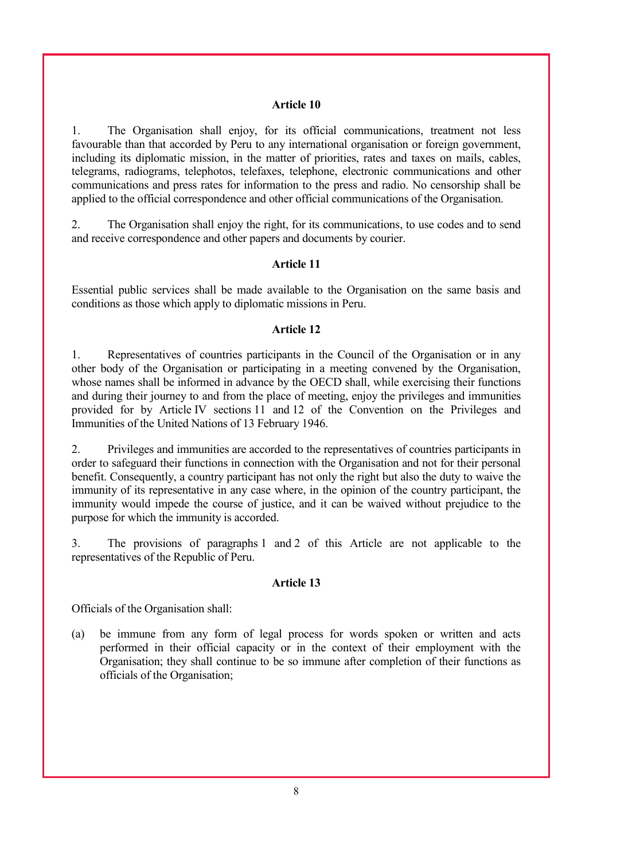1. The Organisation shall enjoy, for its official communications, treatment not less favourable than that accorded by Peru to any international organisation or foreign government, including its diplomatic mission, in the matter of priorities, rates and taxes on mails, cables, telegrams, radiograms, telephotos, telefaxes, telephone, electronic communications and other communications and press rates for information to the press and radio. No censorship shall be applied to the official correspondence and other official communications of the Organisation.

2. The Organisation shall enjoy the right, for its communications, to use codes and to send and receive correspondence and other papers and documents by courier.

#### **Article 11**

Essential public services shall be made available to the Organisation on the same basis and conditions as those which apply to diplomatic missions in Peru.

#### **Article 12**

1. Representatives of countries participants in the Council of the Organisation or in any other body of the Organisation or participating in a meeting convened by the Organisation, whose names shall be informed in advance by the OECD shall, while exercising their functions and during their journey to and from the place of meeting, enjoy the privileges and immunities provided for by Article IV sections 11 and 12 of the Convention on the Privileges and Immunities of the United Nations of 13 February 1946.

2. Privileges and immunities are accorded to the representatives of countries participants in order to safeguard their functions in connection with the Organisation and not for their personal benefit. Consequently, a country participant has not only the right but also the duty to waive the immunity of its representative in any case where, in the opinion of the country participant, the immunity would impede the course of justice, and it can be waived without prejudice to the purpose for which the immunity is accorded.

3. The provisions of paragraphs 1 and 2 of this Article are not applicable to the representatives of the Republic of Peru.

#### **Article 13**

Officials of the Organisation shall:

(a) be immune from any form of legal process for words spoken or written and acts performed in their official capacity or in the context of their employment with the Organisation; they shall continue to be so immune after completion of their functions as officials of the Organisation;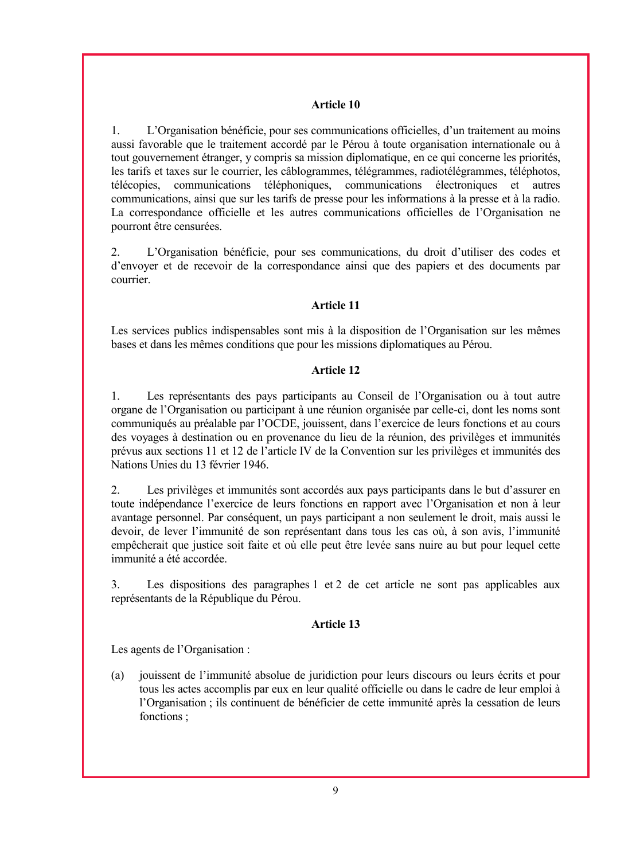1. L'Organisation bénéficie, pour ses communications officielles, d'un traitement au moins aussi favorable que le traitement accordé par le Pérou à toute organisation internationale ou à tout gouvernement étranger, y compris sa mission diplomatique, en ce qui concerne les priorités, les tarifs et taxes sur le courrier, les câblogrammes, télégrammes, radiotélégrammes, téléphotos, télécopies, communications téléphoniques, communications électroniques et autres communications, ainsi que sur les tarifs de presse pour les informations à la presse et à la radio. La correspondance officielle et les autres communications officielles de l'Organisation ne pourront être censurées.

2. L'Organisation bénéficie, pour ses communications, du droit d'utiliser des codes et d'envoyer et de recevoir de la correspondance ainsi que des papiers et des documents par courrier.

## **Article 11**

Les services publics indispensables sont mis à la disposition de l'Organisation sur les mêmes bases et dans les mêmes conditions que pour les missions diplomatiques au Pérou.

## **Article 12**

1. Les représentants des pays participants au Conseil de l'Organisation ou à tout autre organe de l'Organisation ou participant à une réunion organisée par celle-ci, dont les noms sont communiqués au préalable par l'OCDE, jouissent, dans l'exercice de leurs fonctions et au cours des voyages à destination ou en provenance du lieu de la réunion, des privilèges et immunités prévus aux sections 11 et 12 de l'article IV de la Convention sur les privilèges et immunités des Nations Unies du 13 février 1946.

2. Les privilèges et immunités sont accordés aux pays participants dans le but d'assurer en toute indépendance l'exercice de leurs fonctions en rapport avec l'Organisation et non à leur avantage personnel. Par conséquent, un pays participant a non seulement le droit, mais aussi le devoir, de lever l'immunité de son représentant dans tous les cas où, à son avis, l'immunité empêcherait que justice soit faite et où elle peut être levée sans nuire au but pour lequel cette immunité a été accordée.

3. Les dispositions des paragraphes 1 et 2 de cet article ne sont pas applicables aux représentants de la République du Pérou.

## **Article 13**

Les agents de l'Organisation :

(a) jouissent de l'immunité absolue de juridiction pour leurs discours ou leurs écrits et pour tous les actes accomplis par eux en leur qualité officielle ou dans le cadre de leur emploi à l'Organisation ; ils continuent de bénéficier de cette immunité après la cessation de leurs fonctions ;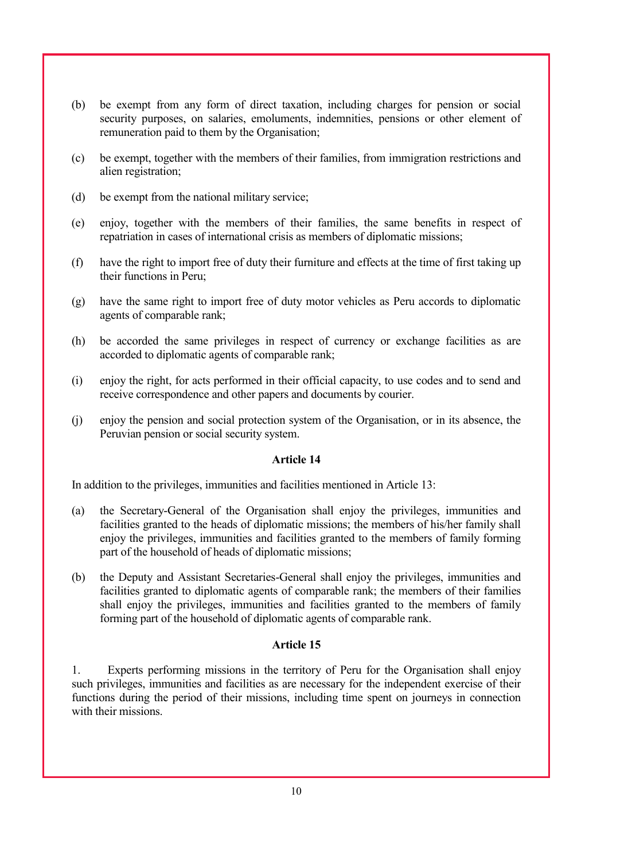- (b) be exempt from any form of direct taxation, including charges for pension or social security purposes, on salaries, emoluments, indemnities, pensions or other element of remuneration paid to them by the Organisation;
- (c) be exempt, together with the members of their families, from immigration restrictions and alien registration;
- (d) be exempt from the national military service;
- (e) enjoy, together with the members of their families, the same benefits in respect of repatriation in cases of international crisis as members of diplomatic missions;
- (f) have the right to import free of duty their furniture and effects at the time of first taking up their functions in Peru;
- (g) have the same right to import free of duty motor vehicles as Peru accords to diplomatic agents of comparable rank;
- (h) be accorded the same privileges in respect of currency or exchange facilities as are accorded to diplomatic agents of comparable rank;
- (i) enjoy the right, for acts performed in their official capacity, to use codes and to send and receive correspondence and other papers and documents by courier.
- (j) enjoy the pension and social protection system of the Organisation, or in its absence, the Peruvian pension or social security system.

In addition to the privileges, immunities and facilities mentioned in Article 13:

- (a) the Secretary-General of the Organisation shall enjoy the privileges, immunities and facilities granted to the heads of diplomatic missions; the members of his/her family shall enjoy the privileges, immunities and facilities granted to the members of family forming part of the household of heads of diplomatic missions;
- (b) the Deputy and Assistant Secretaries-General shall enjoy the privileges, immunities and facilities granted to diplomatic agents of comparable rank; the members of their families shall enjoy the privileges, immunities and facilities granted to the members of family forming part of the household of diplomatic agents of comparable rank.

#### **Article 15**

1. Experts performing missions in the territory of Peru for the Organisation shall enjoy such privileges, immunities and facilities as are necessary for the independent exercise of their functions during the period of their missions, including time spent on journeys in connection with their missions.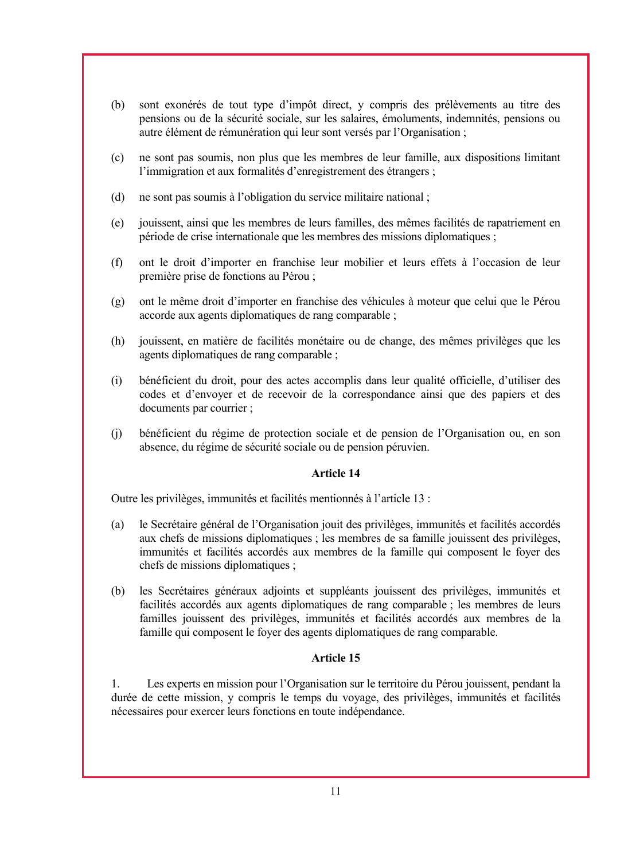- (b) sont exonérés de tout type d'impôt direct, y compris des prélèvements au titre des pensions ou de la sécurité sociale, sur les salaires, émoluments, indemnités, pensions ou autre élément de rémunération qui leur sont versés par l'Organisation ;
- (c) ne sont pas soumis, non plus que les membres de leur famille, aux dispositions limitant l'immigration et aux formalités d'enregistrement des étrangers ;
- (d) ne sont pas soumis à l'obligation du service militaire national ;
- (e) jouissent, ainsi que les membres de leurs familles, des mêmes facilités de rapatriement en période de crise internationale que les membres des missions diplomatiques ;
- (f) ont le droit d'importer en franchise leur mobilier et leurs effets à l'occasion de leur première prise de fonctions au Pérou ;
- (g) ont le même droit d'importer en franchise des véhicules à moteur que celui que le Pérou accorde aux agents diplomatiques de rang comparable ;
- (h) jouissent, en matière de facilités monétaire ou de change, des mêmes privilèges que les agents diplomatiques de rang comparable ;
- (i) bénéficient du droit, pour des actes accomplis dans leur qualité officielle, d'utiliser des codes et d'envoyer et de recevoir de la correspondance ainsi que des papiers et des documents par courrier ;
- (j) bénéficient du régime de protection sociale et de pension de l'Organisation ou, en son absence, du régime de sécurité sociale ou de pension péruvien.

Outre les privilèges, immunités et facilités mentionnés à l'article 13 :

- (a) le Secrétaire général de l'Organisation jouit des privilèges, immunités et facilités accordés aux chefs de missions diplomatiques ; les membres de sa famille jouissent des privilèges, immunités et facilités accordés aux membres de la famille qui composent le foyer des chefs de missions diplomatiques ;
- (b) les Secrétaires généraux adjoints et suppléants jouissent des privilèges, immunités et facilités accordés aux agents diplomatiques de rang comparable ; les membres de leurs familles jouissent des privilèges, immunités et facilités accordés aux membres de la famille qui composent le foyer des agents diplomatiques de rang comparable.

## **Article 15**

1. Les experts en mission pour l'Organisation sur le territoire du Pérou jouissent, pendant la durée de cette mission, y compris le temps du voyage, des privilèges, immunités et facilités nécessaires pour exercer leurs fonctions en toute indépendance.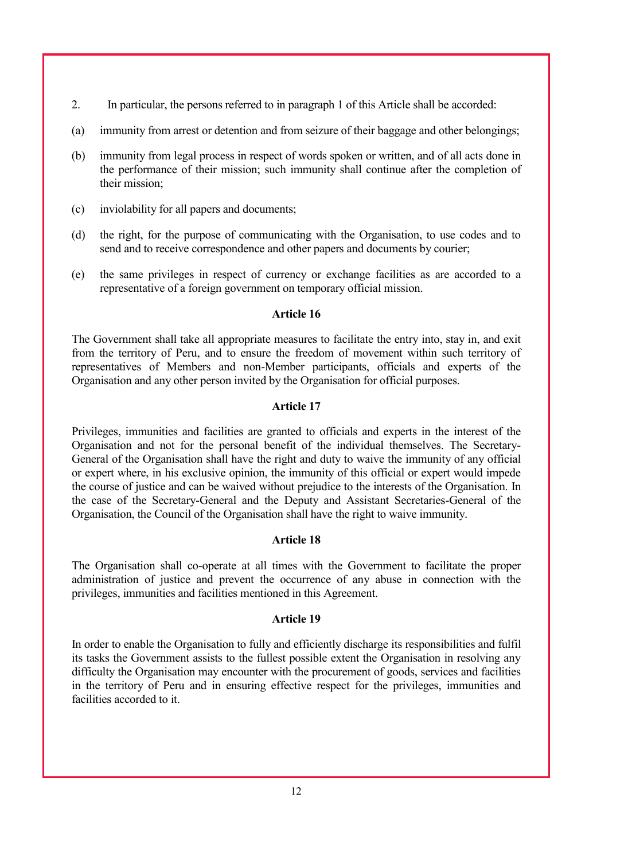- 2. In particular, the persons referred to in paragraph 1 of this Article shall be accorded:
- (a) immunity from arrest or detention and from seizure of their baggage and other belongings;
- (b) immunity from legal process in respect of words spoken or written, and of all acts done in the performance of their mission; such immunity shall continue after the completion of their mission;
- (c) inviolability for all papers and documents;
- (d) the right, for the purpose of communicating with the Organisation, to use codes and to send and to receive correspondence and other papers and documents by courier;
- (e) the same privileges in respect of currency or exchange facilities as are accorded to a representative of a foreign government on temporary official mission.

The Government shall take all appropriate measures to facilitate the entry into, stay in, and exit from the territory of Peru, and to ensure the freedom of movement within such territory of representatives of Members and non-Member participants, officials and experts of the Organisation and any other person invited by the Organisation for official purposes.

#### **Article 17**

Privileges, immunities and facilities are granted to officials and experts in the interest of the Organisation and not for the personal benefit of the individual themselves. The Secretary-General of the Organisation shall have the right and duty to waive the immunity of any official or expert where, in his exclusive opinion, the immunity of this official or expert would impede the course of justice and can be waived without prejudice to the interests of the Organisation. In the case of the Secretary-General and the Deputy and Assistant Secretaries-General of the Organisation, the Council of the Organisation shall have the right to waive immunity.

### **Article 18**

The Organisation shall co-operate at all times with the Government to facilitate the proper administration of justice and prevent the occurrence of any abuse in connection with the privileges, immunities and facilities mentioned in this Agreement.

### **Article 19**

In order to enable the Organisation to fully and efficiently discharge its responsibilities and fulfil its tasks the Government assists to the fullest possible extent the Organisation in resolving any difficulty the Organisation may encounter with the procurement of goods, services and facilities in the territory of Peru and in ensuring effective respect for the privileges, immunities and facilities accorded to it.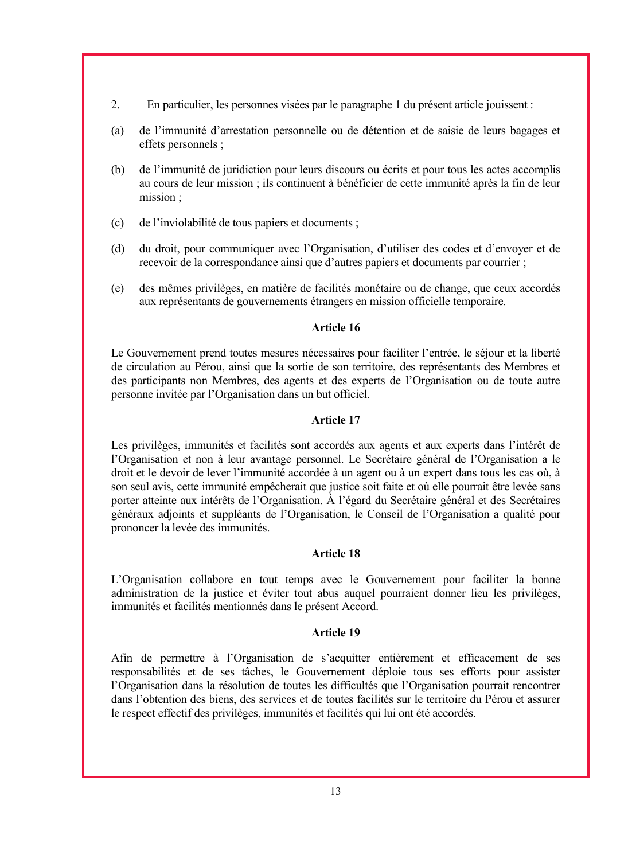- 2. En particulier, les personnes visées par le paragraphe 1 du présent article jouissent :
- (a) de l'immunité d'arrestation personnelle ou de détention et de saisie de leurs bagages et effets personnels ;
- (b) de l'immunité de juridiction pour leurs discours ou écrits et pour tous les actes accomplis au cours de leur mission ; ils continuent à bénéficier de cette immunité après la fin de leur mission ;
- (c) de l'inviolabilité de tous papiers et documents ;
- (d) du droit, pour communiquer avec l'Organisation, d'utiliser des codes et d'envoyer et de recevoir de la correspondance ainsi que d'autres papiers et documents par courrier ;
- (e) des mêmes privilèges, en matière de facilités monétaire ou de change, que ceux accordés aux représentants de gouvernements étrangers en mission officielle temporaire.

Le Gouvernement prend toutes mesures nécessaires pour faciliter l'entrée, le séjour et la liberté de circulation au Pérou, ainsi que la sortie de son territoire, des représentants des Membres et des participants non Membres, des agents et des experts de l'Organisation ou de toute autre personne invitée par l'Organisation dans un but officiel.

### **Article 17**

Les privilèges, immunités et facilités sont accordés aux agents et aux experts dans l'intérêt de l'Organisation et non à leur avantage personnel. Le Secrétaire général de l'Organisation a le droit et le devoir de lever l'immunité accordée à un agent ou à un expert dans tous les cas où, à son seul avis, cette immunité empêcherait que justice soit faite et où elle pourrait être levée sans porter atteinte aux intérêts de l'Organisation. À l'égard du Secrétaire général et des Secrétaires généraux adjoints et suppléants de l'Organisation, le Conseil de l'Organisation a qualité pour prononcer la levée des immunités.

### **Article 18**

L'Organisation collabore en tout temps avec le Gouvernement pour faciliter la bonne administration de la justice et éviter tout abus auquel pourraient donner lieu les privilèges, immunités et facilités mentionnés dans le présent Accord.

### **Article 19**

Afin de permettre à l'Organisation de s'acquitter entièrement et efficacement de ses responsabilités et de ses tâches, le Gouvernement déploie tous ses efforts pour assister l'Organisation dans la résolution de toutes les difficultés que l'Organisation pourrait rencontrer dans l'obtention des biens, des services et de toutes facilités sur le territoire du Pérou et assurer le respect effectif des privilèges, immunités et facilités qui lui ont été accordés.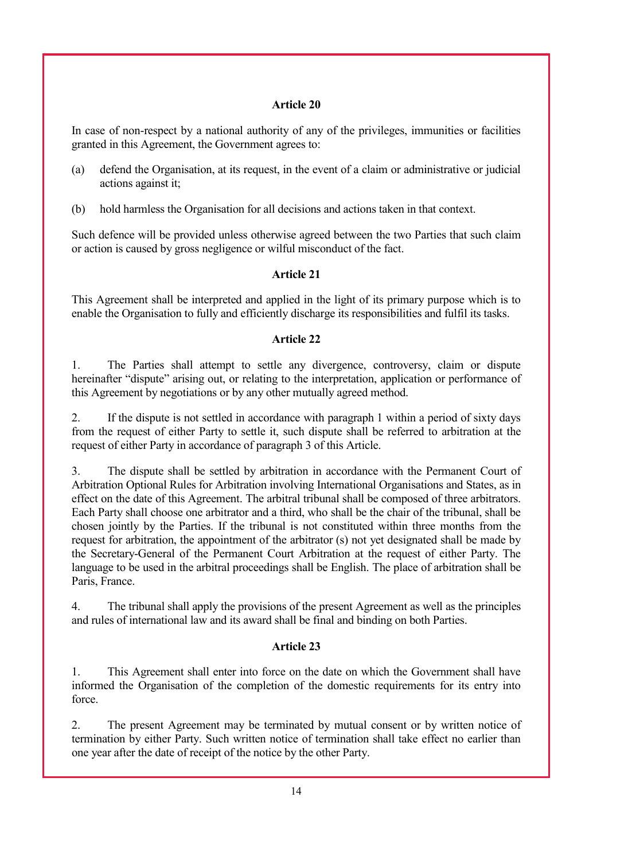In case of non-respect by a national authority of any of the privileges, immunities or facilities granted in this Agreement, the Government agrees to:

- (a) defend the Organisation, at its request, in the event of a claim or administrative or judicial actions against it;
- (b) hold harmless the Organisation for all decisions and actions taken in that context.

Such defence will be provided unless otherwise agreed between the two Parties that such claim or action is caused by gross negligence or wilful misconduct of the fact.

# **Article 21**

This Agreement shall be interpreted and applied in the light of its primary purpose which is to enable the Organisation to fully and efficiently discharge its responsibilities and fulfil its tasks.

## **Article 22**

1. The Parties shall attempt to settle any divergence, controversy, claim or dispute hereinafter "dispute" arising out, or relating to the interpretation, application or performance of this Agreement by negotiations or by any other mutually agreed method.

2. If the dispute is not settled in accordance with paragraph 1 within a period of sixty days from the request of either Party to settle it, such dispute shall be referred to arbitration at the request of either Party in accordance of paragraph 3 of this Article.

3. The dispute shall be settled by arbitration in accordance with the Permanent Court of Arbitration Optional Rules for Arbitration involving International Organisations and States, as in effect on the date of this Agreement. The arbitral tribunal shall be composed of three arbitrators. Each Party shall choose one arbitrator and a third, who shall be the chair of the tribunal, shall be chosen jointly by the Parties. If the tribunal is not constituted within three months from the request for arbitration, the appointment of the arbitrator (s) not yet designated shall be made by the Secretary-General of the Permanent Court Arbitration at the request of either Party. The language to be used in the arbitral proceedings shall be English. The place of arbitration shall be Paris, France.

4. The tribunal shall apply the provisions of the present Agreement as well as the principles and rules of international law and its award shall be final and binding on both Parties.

## **Article 23**

1. This Agreement shall enter into force on the date on which the Government shall have informed the Organisation of the completion of the domestic requirements for its entry into force.

2. The present Agreement may be terminated by mutual consent or by written notice of termination by either Party. Such written notice of termination shall take effect no earlier than one year after the date of receipt of the notice by the other Party.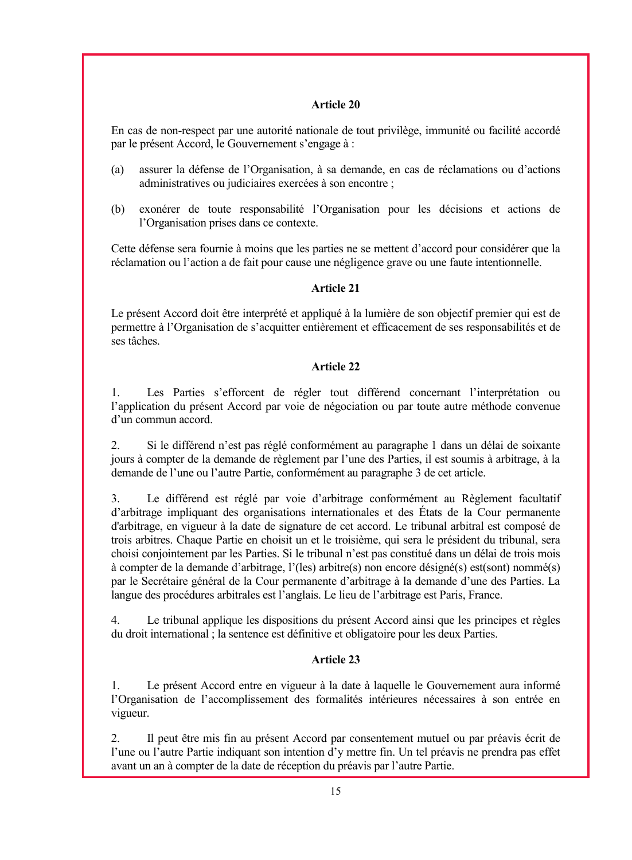En cas de non-respect par une autorité nationale de tout privilège, immunité ou facilité accordé par le présent Accord, le Gouvernement s'engage à :

- (a) assurer la défense de l'Organisation, à sa demande, en cas de réclamations ou d'actions administratives ou judiciaires exercées à son encontre ;
- (b) exonérer de toute responsabilité l'Organisation pour les décisions et actions de l'Organisation prises dans ce contexte.

Cette défense sera fournie à moins que les parties ne se mettent d'accord pour considérer que la réclamation ou l'action a de fait pour cause une négligence grave ou une faute intentionnelle.

## **Article 21**

Le présent Accord doit être interprété et appliqué à la lumière de son objectif premier qui est de permettre à l'Organisation de s'acquitter entièrement et efficacement de ses responsabilités et de ses tâches.

# **Article 22**

1. Les Parties s'efforcent de régler tout différend concernant l'interprétation ou l'application du présent Accord par voie de négociation ou par toute autre méthode convenue d'un commun accord.

2. Si le différend n'est pas réglé conformément au paragraphe 1 dans un délai de soixante jours à compter de la demande de règlement par l'une des Parties, il est soumis à arbitrage, à la demande de l'une ou l'autre Partie, conformément au paragraphe 3 de cet article.

3. Le différend est réglé par voie d'arbitrage conformément au Règlement facultatif d'arbitrage impliquant des organisations internationales et des États de la Cour permanente d'arbitrage, en vigueur à la date de signature de cet accord. Le tribunal arbitral est composé de trois arbitres. Chaque Partie en choisit un et le troisième, qui sera le président du tribunal, sera choisi conjointement par les Parties. Si le tribunal n'est pas constitué dans un délai de trois mois à compter de la demande d'arbitrage, l'(les) arbitre(s) non encore désigné(s) est(sont) nommé(s) par le Secrétaire général de la Cour permanente d'arbitrage à la demande d'une des Parties. La langue des procédures arbitrales est l'anglais. Le lieu de l'arbitrage est Paris, France.

4. Le tribunal applique les dispositions du présent Accord ainsi que les principes et règles du droit international ; la sentence est définitive et obligatoire pour les deux Parties.

# **Article 23**

1. Le présent Accord entre en vigueur à la date à laquelle le Gouvernement aura informé l'Organisation de l'accomplissement des formalités intérieures nécessaires à son entrée en vigueur.

2. Il peut être mis fin au présent Accord par consentement mutuel ou par préavis écrit de l'une ou l'autre Partie indiquant son intention d'y mettre fin. Un tel préavis ne prendra pas effet avant un an à compter de la date de réception du préavis par l'autre Partie.